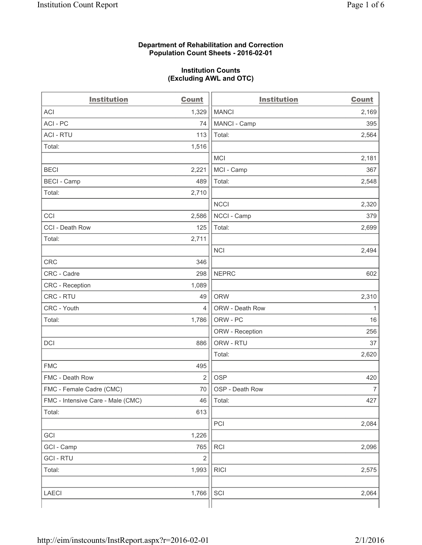### **Department of Rehabilitation and Correction Population Count Sheets - 2016-02-01**

### **Institution Counts (Excluding AWL and OTC)**

| <b>Institution</b>                | Count          | <b>Institution</b> | <b>Count</b>   |
|-----------------------------------|----------------|--------------------|----------------|
| <b>ACI</b>                        | 1,329          | <b>MANCI</b>       | 2,169          |
| ACI-PC                            | 74             | MANCI - Camp       | 395            |
| <b>ACI - RTU</b>                  | 113            | Total:             | 2,564          |
| Total:                            | 1,516          |                    |                |
|                                   |                | MCI                | 2,181          |
| <b>BECI</b>                       | 2,221          | MCI - Camp         | 367            |
| <b>BECI</b> - Camp                | 489            | Total:             | 2,548          |
| Total:                            | 2,710          |                    |                |
|                                   |                | <b>NCCI</b>        | 2,320          |
| CCI                               | 2,586          | NCCI - Camp        | 379            |
| CCI - Death Row                   | 125            | Total:             | 2,699          |
| Total:                            | 2,711          |                    |                |
|                                   |                | <b>NCI</b>         | 2,494          |
| <b>CRC</b>                        | 346            |                    |                |
| CRC - Cadre                       | 298            | <b>NEPRC</b>       | 602            |
| CRC - Reception                   | 1,089          |                    |                |
| CRC - RTU                         | 49             | <b>ORW</b>         | 2,310          |
| CRC - Youth                       | $\overline{4}$ | ORW - Death Row    | 1              |
| Total:                            | 1,786          | ORW - PC           | 16             |
|                                   |                | ORW - Reception    | 256            |
| DCI                               | 886            | ORW - RTU          | 37             |
|                                   |                | Total:             | 2,620          |
| <b>FMC</b>                        | 495            |                    |                |
| FMC - Death Row                   | $\overline{2}$ | <b>OSP</b>         | 420            |
| FMC - Female Cadre (CMC)          | 70             | OSP - Death Row    | $\overline{7}$ |
| FMC - Intensive Care - Male (CMC) | 46             | Total:             | 427            |
| Total:                            | 613            |                    |                |
|                                   |                | PCI                | 2,084          |
| GCI                               | 1,226          |                    |                |
| GCI - Camp                        | 765            | <b>RCI</b>         | 2,096          |
| <b>GCI-RTU</b>                    | $\mathbf 2$    |                    |                |
| Total:                            | 1,993          | <b>RICI</b>        | 2,575          |
|                                   |                |                    |                |
| LAECI                             | 1,766          | SCI                | 2,064          |
|                                   |                |                    |                |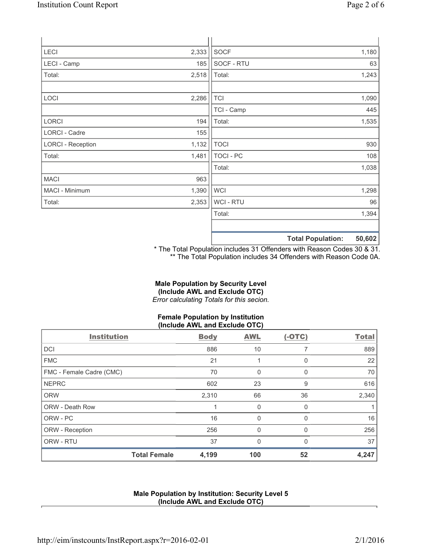|                          |       |                  | $F^{\prime}$ 000<br>天下 ちょうし あいしょう しょうしんしょう |
|--------------------------|-------|------------------|--------------------------------------------|
|                          |       |                  |                                            |
|                          |       | Total:           | 1,394                                      |
| Total:                   | 2,353 | WCI - RTU        | 96                                         |
| MACI - Minimum           | 1,390 | <b>WCI</b>       | 1,298                                      |
| <b>MACI</b>              | 963   |                  |                                            |
|                          |       | Total:           | 1,038                                      |
| Total:                   | 1,481 | <b>TOCI - PC</b> | 108                                        |
| <b>LORCI - Reception</b> | 1,132 | <b>TOCI</b>      | 930                                        |
| LORCI - Cadre            | 155   |                  |                                            |
| <b>LORCI</b>             | 194   | Total:           | 1,535                                      |
|                          |       | TCI - Camp       | 445                                        |
| LOCI                     | 2,286 | <b>TCI</b>       | 1,090                                      |
|                          |       |                  |                                            |
| Total:                   | 2,518 | Total:           | 1,243                                      |
| LECI - Camp              | 185   | SOCF - RTU       | 63                                         |
| LECI                     | 2,333 | <b>SOCF</b>      | 1,180                                      |
|                          |       |                  |                                            |

**Total Population: 50,602**

\* The Total Population includes 31 Offenders with Reason Codes 30 & 31. \*\* The Total Population includes 34 Offenders with Reason Code 0A.

# **Male Population by Security Level (Include AWL and Exclude OTC)**

*Error calculating Totals for this secion.*

## **Female Population by Institution (Include AWL and Exclude OTC)**

| <b>Institution</b>       | <b>Body</b> | <b>AWL</b> | $(-OTC)$ | <b>Total</b> |
|--------------------------|-------------|------------|----------|--------------|
| <b>DCI</b>               | 886         | 10         |          | 889          |
| <b>FMC</b>               | 21          |            | $\Omega$ | 22           |
| FMC - Female Cadre (CMC) | 70          | 0          | $\Omega$ | 70           |
| <b>NEPRC</b>             | 602         | 23         | 9        | 616          |
| <b>ORW</b>               | 2,310       | 66         | 36       | 2,340        |
| <b>ORW - Death Row</b>   |             | 0          | $\Omega$ |              |
| ORW - PC                 | 16          | 0          | 0        | 16           |
| ORW - Reception          | 256         | 0          | $\Omega$ | 256          |
| ORW - RTU                | 37          | $\Omega$   | O        | 37           |
| <b>Total Female</b>      | 4,199       | 100        | 52       | 4,247        |

### **Male Population by Institution: Security Level 5 (Include AWL and Exclude OTC)**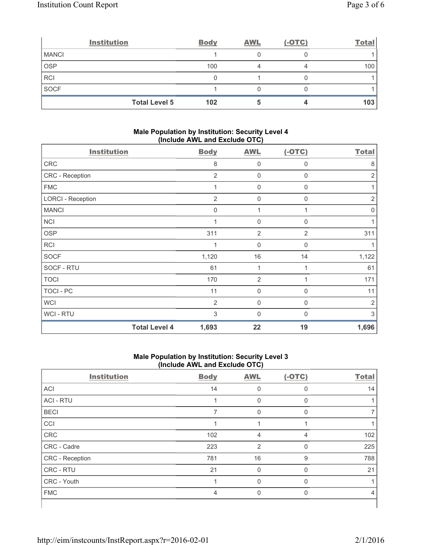|              | <b>Institution</b>   | <b>Body</b> | <b>AWL</b> | $(-OTC)$ | <b>Total</b>     |
|--------------|----------------------|-------------|------------|----------|------------------|
| <b>MANCI</b> |                      |             |            |          |                  |
| OSP          |                      | 100         |            |          | 100 <sub>1</sub> |
| <b>RCI</b>   |                      |             |            |          |                  |
| SOCF         |                      |             |            |          |                  |
|              | <b>Total Level 5</b> | 102         |            |          | 103              |

### **Male Population by Institution: Security Level 4 (Include AWL and Exclude OTC)**

| <b>Institution</b>       |                      | <b>Body</b>    | <b>AWL</b>     | $(-OTC)$     | <b>Total</b>   |
|--------------------------|----------------------|----------------|----------------|--------------|----------------|
| ${\sf CRC}$              |                      | 8              | 0              | 0            | 8              |
| CRC - Reception          |                      | $\overline{2}$ | $\mathbf 0$    | 0            | 2              |
| <b>FMC</b>               |                      | 1              | $\mathbf 0$    | 0            |                |
| <b>LORCI - Reception</b> |                      | $\overline{2}$ | $\mathbf 0$    | 0            | $\overline{2}$ |
| <b>MANCI</b>             |                      | $\mathbf 0$    | 1              | 1            | 0              |
| <b>NCI</b>               |                      | 1              | 0              | $\Omega$     |                |
| <b>OSP</b>               |                      | 311            | $\overline{2}$ | 2            | 311            |
| <b>RCI</b>               |                      | 1              | 0              | $\Omega$     |                |
| <b>SOCF</b>              |                      | 1,120          | 16             | 14           | 1,122          |
| SOCF - RTU               |                      | 61             | 1              |              | 61             |
| <b>TOCI</b>              |                      | 170            | $\overline{2}$ |              | 171            |
| TOCI - PC                |                      | 11             | $\overline{0}$ | 0            | 11             |
| <b>WCI</b>               |                      | $\overline{2}$ | $\overline{0}$ | 0            | $\overline{2}$ |
| <b>WCI-RTU</b>           |                      | 3              | 0              | $\mathbf{0}$ | 3              |
|                          | <b>Total Level 4</b> | 1,693          | 22             | 19           | 1,696          |

## **Male Population by Institution: Security Level 3 (Include AWL and Exclude OTC)**

| <b>Institution</b> | <b>Body</b> | <b>AWL</b>     | $(-OTC)$     | <b>Total</b> |
|--------------------|-------------|----------------|--------------|--------------|
| <b>ACI</b>         | 14          | $\Omega$       | 0            | 14           |
| <b>ACI - RTU</b>   |             | 0              | 0            |              |
| <b>BECI</b>        | 7           | $\Omega$       | 0            |              |
| CCI                |             |                |              |              |
| CRC                | 102         | 4              | 4            | 102          |
| CRC - Cadre        | 223         | $\overline{2}$ | $\mathbf{0}$ | 225          |
| CRC - Reception    | 781         | 16             | 9            | 788          |
| CRC - RTU          | 21          | $\mathbf 0$    | $\Omega$     | 21           |
| CRC - Youth        |             | $\Omega$       | $\Omega$     |              |
| <b>FMC</b>         | 4           | 0              | $\Omega$     | 4            |
|                    |             |                |              |              |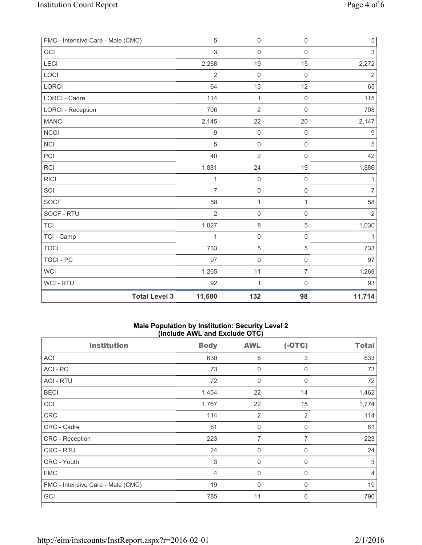| FMC - Intensive Care - Male (CMC) |                      | $\sqrt{5}$     | $\mathsf{O}\xspace$ | $\mathsf 0$    | $\,$ 5 $\,$      |
|-----------------------------------|----------------------|----------------|---------------------|----------------|------------------|
| GCI                               |                      | $\mathfrak{S}$ | $\mathsf{O}\xspace$ | $\mathbf 0$    | 3                |
| LECI                              |                      | 2,268          | 19                  | 15             | 2,272            |
| LOCI                              |                      | $\overline{2}$ | $\mathbf 0$         | $\mathsf 0$    | $\overline{2}$   |
| LORCI                             |                      | 64             | 13                  | 12             | 65               |
| LORCI - Cadre                     |                      | 114            | $\mathbf{1}$        | $\mathsf 0$    | 115              |
| <b>LORCI - Reception</b>          |                      | 706            | $\overline{2}$      | $\mathsf 0$    | 708              |
| <b>MANCI</b>                      |                      | 2,145          | 22                  | 20             | 2,147            |
| <b>NCCI</b>                       |                      | $\mathsf 9$    | $\mathsf{O}\xspace$ | $\mathsf 0$    | $\boldsymbol{9}$ |
| <b>NCI</b>                        |                      | 5              | $\mathsf{O}\xspace$ | $\mathsf 0$    | $\sqrt{5}$       |
| PCI                               |                      | 40             | $\overline{2}$      | $\mathbf 0$    | 42               |
| <b>RCI</b>                        |                      | 1,881          | 24                  | 19             | 1,886            |
| <b>RICI</b>                       |                      | $\mathbf{1}$   | $\mathbf 0$         | $\mathsf 0$    | 1                |
| SCI                               |                      | $\overline{7}$ | $\mathsf{O}\xspace$ | $\mathsf 0$    | 7                |
| <b>SOCF</b>                       |                      | 58             | 1                   | 1              | 58               |
| SOCF - RTU                        |                      | $\mathbf 2$    | $\mathsf{O}\xspace$ | $\mathsf 0$    | $\sqrt{2}$       |
| <b>TCI</b>                        |                      | 1,027          | 8                   | $\overline{5}$ | 1,030            |
| TCI - Camp                        |                      | $\mathbf{1}$   | $\mathsf 0$         | $\mathsf 0$    | 1                |
| <b>TOCI</b>                       |                      | 733            | 5                   | $\sqrt{5}$     | 733              |
| <b>TOCI - PC</b>                  |                      | 97             | $\mathsf{O}\xspace$ | $\mathsf 0$    | 97               |
| <b>WCI</b>                        |                      | 1,265          | 11                  | $\overline{7}$ | 1,269            |
| <b>WCI - RTU</b>                  |                      | 92             | 1                   | $\mathsf 0$    | 93               |
|                                   | <b>Total Level 3</b> | 11,680         | 132                 | 98             | 11,714           |

### **Male Population by Institution: Security Level 2 (Include AWL and Exclude OTC)**

| <b>Institution</b>                | <b>Body</b>    | <b>AWL</b>       | $(-OTC)$       | <b>Total</b> |
|-----------------------------------|----------------|------------------|----------------|--------------|
| ACI                               | 630            | 6                | 3              | 633          |
| ACI-PC                            | 73             | $\mathbf 0$      | $\mathbf 0$    | 73           |
| <b>ACI - RTU</b>                  | 72             | $\boldsymbol{0}$ | 0              | 72           |
| <b>BECI</b>                       | 1,454          | 22               | 14             | 1,462        |
| CCI                               | 1,767          | 22               | 15             | 1,774        |
| <b>CRC</b>                        | 114            | $\overline{2}$   | $\overline{2}$ | 114          |
| CRC - Cadre                       | 61             | 0                | 0              | 61           |
| CRC - Reception                   | 223            | 7                | $\overline{7}$ | 223          |
| CRC - RTU                         | 24             | $\mathbf 0$      | 0              | 24           |
| CRC - Youth                       | $\mathfrak{S}$ | $\mathbf 0$      | $\mathbf 0$    | 3            |
| <b>FMC</b>                        | 4              | $\mathbf 0$      | $\mathbf 0$    | 4            |
| FMC - Intensive Care - Male (CMC) | 19             | $\mathbf 0$      | $\mathbf 0$    | 19           |
| GCI                               | 785            | 11               | 6              | 790          |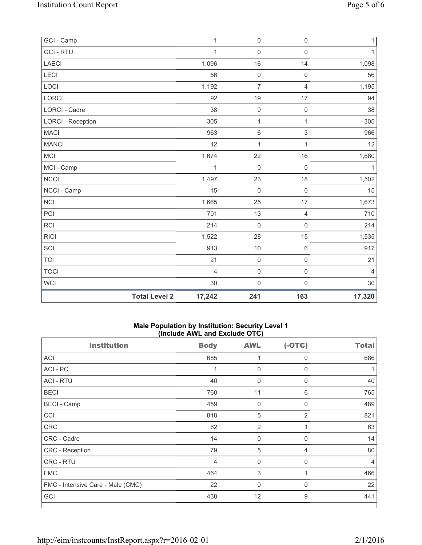| GCI - Camp               |                      | $\mathbf{1}$ | 0                   | $\mathsf 0$         | 1              |
|--------------------------|----------------------|--------------|---------------------|---------------------|----------------|
| <b>GCI - RTU</b>         |                      | $\mathbf{1}$ | 0                   | $\mathsf 0$         | 1              |
| <b>LAECI</b>             |                      | 1,096        | 16                  | 14                  | 1,098          |
| LECI                     |                      | 56           | 0                   | $\mathsf 0$         | 56             |
| LOCI                     |                      | 1,192        | $\overline{7}$      | $\overline{4}$      | 1,195          |
| <b>LORCI</b>             |                      | 92           | 19                  | 17                  | 94             |
| <b>LORCI - Cadre</b>     |                      | 38           | $\mathsf 0$         | $\mathsf 0$         | 38             |
| <b>LORCI - Reception</b> |                      | 305          | $\mathbf{1}$        | 1                   | 305            |
| <b>MACI</b>              |                      | 963          | 6                   | $\mathsf 3$         | 966            |
| <b>MANCI</b>             |                      | 12           | $\mathbf{1}$        | $\mathbf{1}$        | 12             |
| MCI                      |                      | 1,674        | 22                  | 16                  | 1,680          |
| MCI - Camp               |                      | 1            | 0                   | $\mathsf{O}\xspace$ | 1              |
| NCCI                     |                      | 1,497        | 23                  | 18                  | 1,502          |
| NCCI - Camp              |                      | 15           | $\mathsf{O}\xspace$ | $\mathsf 0$         | 15             |
| NCI                      |                      | 1,665        | 25                  | 17                  | 1,673          |
| PCI                      |                      | 701          | 13                  | $\overline{4}$      | 710            |
| <b>RCI</b>               |                      | 214          | $\mathsf{O}\xspace$ | $\mathsf 0$         | 214            |
| <b>RICI</b>              |                      | 1,522        | 28                  | 15                  | 1,535          |
| SCI                      |                      | 913          | 10                  | $\,6\,$             | 917            |
| <b>TCI</b>               |                      | 21           | $\mathsf 0$         | $\mathsf 0$         | 21             |
| <b>TOCI</b>              |                      | 4            | $\mathsf{O}\xspace$ | $\mathsf 0$         | $\overline{4}$ |
| WCI                      |                      | 30           | $\mathsf{O}\xspace$ | $\mathsf{O}\xspace$ | 30             |
|                          | <b>Total Level 2</b> | 17,242       | 241                 | 163                 | 17,320         |

### **Male Population by Institution: Security Level 1 (Include AWL and Exclude OTC)**

| <b>Institution</b>                | <b>Body</b> | <b>AWL</b>  | $(-OTC)$       | <b>Total</b> |
|-----------------------------------|-------------|-------------|----------------|--------------|
| ACI                               | 685         |             | 0              | 686          |
| ACI-PC                            | 1           | $\mathbf 0$ | $\mathbf 0$    |              |
| <b>ACI - RTU</b>                  | 40          | 0           | 0              | 40           |
| <b>BECI</b>                       | 760         | 11          | 6              | 765          |
| <b>BECI</b> - Camp                | 489         | $\mathbf 0$ | 0              | 489          |
| CCI                               | 818         | 5           | $\overline{2}$ | 821          |
| CRC                               | 62          | 2           |                | 63           |
| CRC - Cadre                       | 14          | $\mathbf 0$ | $\mathbf 0$    | 14           |
| CRC - Reception                   | 79          | 5           | 4              | 80           |
| CRC - RTU                         | 4           | $\mathbf 0$ | $\mathbf 0$    | 4            |
| <b>FMC</b>                        | 464         | 3           | 1              | 466          |
| FMC - Intensive Care - Male (CMC) | 22          | $\mathbf 0$ | $\mathbf 0$    | 22           |
| GCI                               | 438         | 12          | 9              | 441          |